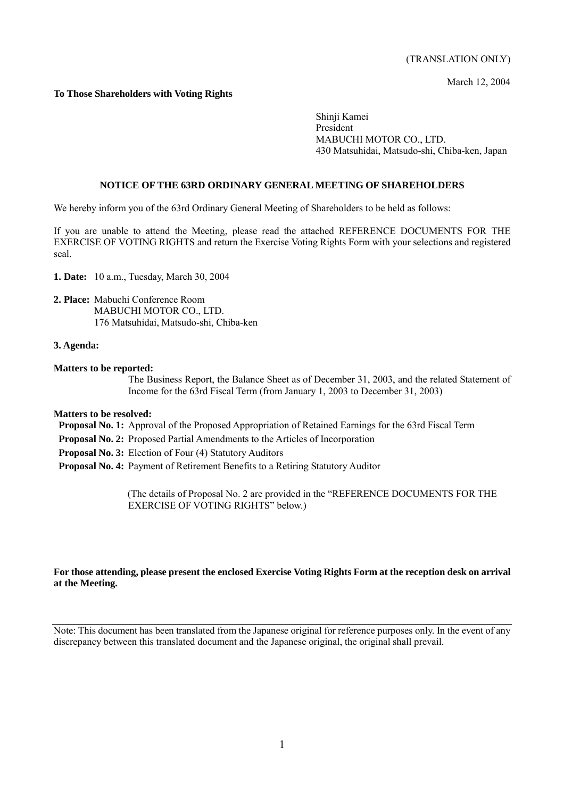March 12, 2004

## **To Those Shareholders with Voting Rights**

Shinji Kamei President MABUCHI MOTOR CO., LTD. 430 Matsuhidai, Matsudo-shi, Chiba-ken, Japan

#### **NOTICE OF THE 63RD ORDINARY GENERAL MEETING OF SHAREHOLDERS**

We hereby inform you of the 63rd Ordinary General Meeting of Shareholders to be held as follows:

If you are unable to attend the Meeting, please read the attached REFERENCE DOCUMENTS FOR THE EXERCISE OF VOTING RIGHTS and return the Exercise Voting Rights Form with your selections and registered seal.

**1. Date:** 10 a.m., Tuesday, March 30, 2004

**2. Place:** Mabuchi Conference Room MABUCHI MOTOR CO., LTD. 176 Matsuhidai, Matsudo-shi, Chiba-ken

#### **3. Agenda:**

#### **Matters to be reported:**

The Business Report, the Balance Sheet as of December 31, 2003, and the related Statement of Income for the 63rd Fiscal Term (from January 1, 2003 to December 31, 2003)

## **Matters to be resolved:**

 **Proposal No. 1:** Approval of the Proposed Appropriation of Retained Earnings for the 63rd Fiscal Term

- **Proposal No. 2:** Proposed Partial Amendments to the Articles of Incorporation
- **Proposal No. 3:** Election of Four (4) Statutory Auditors
- **Proposal No. 4:** Payment of Retirement Benefits to a Retiring Statutory Auditor

(The details of Proposal No. 2 are provided in the "REFERENCE DOCUMENTS FOR THE EXERCISE OF VOTING RIGHTS" below.)

#### **For those attending, please present the enclosed Exercise Voting Rights Form at the reception desk on arrival at the Meeting.**

Note: This document has been translated from the Japanese original for reference purposes only. In the event of any discrepancy between this translated document and the Japanese original, the original shall prevail.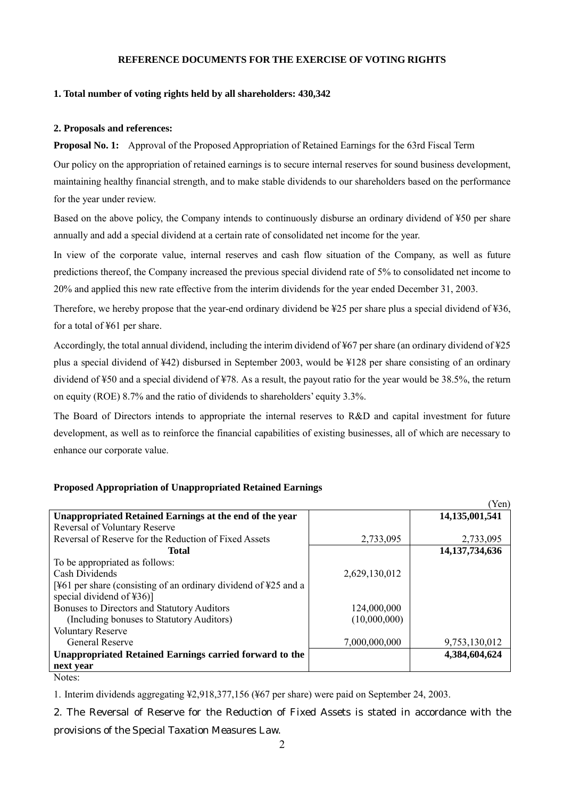## **REFERENCE DOCUMENTS FOR THE EXERCISE OF VOTING RIGHTS**

#### **1. Total number of voting rights held by all shareholders: 430,342**

#### **2. Proposals and references:**

**Proposal No. 1:** Approval of the Proposed Appropriation of Retained Earnings for the 63rd Fiscal Term

Our policy on the appropriation of retained earnings is to secure internal reserves for sound business development, maintaining healthy financial strength, and to make stable dividends to our shareholders based on the performance for the year under review.

Based on the above policy, the Company intends to continuously disburse an ordinary dividend of ¥50 per share annually and add a special dividend at a certain rate of consolidated net income for the year.

In view of the corporate value, internal reserves and cash flow situation of the Company, as well as future predictions thereof, the Company increased the previous special dividend rate of 5% to consolidated net income to 20% and applied this new rate effective from the interim dividends for the year ended December 31, 2003.

Therefore, we hereby propose that the year-end ordinary dividend be ¥25 per share plus a special dividend of ¥36, for a total of ¥61 per share.

Accordingly, the total annual dividend, including the interim dividend of ¥67 per share (an ordinary dividend of ¥25 plus a special dividend of ¥42) disbursed in September 2003, would be ¥128 per share consisting of an ordinary dividend of ¥50 and a special dividend of ¥78. As a result, the payout ratio for the year would be 38.5%, the return on equity (ROE) 8.7% and the ratio of dividends to shareholders' equity 3.3%.

The Board of Directors intends to appropriate the internal reserves to R&D and capital investment for future development, as well as to reinforce the financial capabilities of existing businesses, all of which are necessary to enhance our corporate value.

#### **Proposed Appropriation of Unappropriated Retained Earnings**

|                                                                             |               | (Yen)             |
|-----------------------------------------------------------------------------|---------------|-------------------|
| Unappropriated Retained Earnings at the end of the year                     |               | 14,135,001,541    |
| <b>Reversal of Voluntary Reserve</b>                                        |               |                   |
| Reversal of Reserve for the Reduction of Fixed Assets                       | 2,733,095     | 2,733,095         |
| <b>Total</b>                                                                |               | 14, 137, 734, 636 |
| To be appropriated as follows:                                              |               |                   |
| Cash Dividends                                                              | 2,629,130,012 |                   |
| [¥61 per share (consisting of an ordinary dividend of $\frac{425}{2}$ and a |               |                   |
| special dividend of ¥36)]                                                   |               |                   |
| Bonuses to Directors and Statutory Auditors                                 | 124,000,000   |                   |
| (Including bonuses to Statutory Auditors)                                   | (10,000,000)  |                   |
| <b>Voluntary Reserve</b>                                                    |               |                   |
| <b>General Reserve</b>                                                      | 7,000,000,000 | 9,753,130,012     |
| Unappropriated Retained Earnings carried forward to the                     |               | 4,384,604,624     |
| next year                                                                   |               |                   |
| Notes:                                                                      |               |                   |

1. Interim dividends aggregating ¥2,918,377,156 (¥67 per share) were paid on September 24, 2003.

2. The Reversal of Reserve for the Reduction of Fixed Assets is stated in accordance with the

provisions of the Special Taxation Measures Law.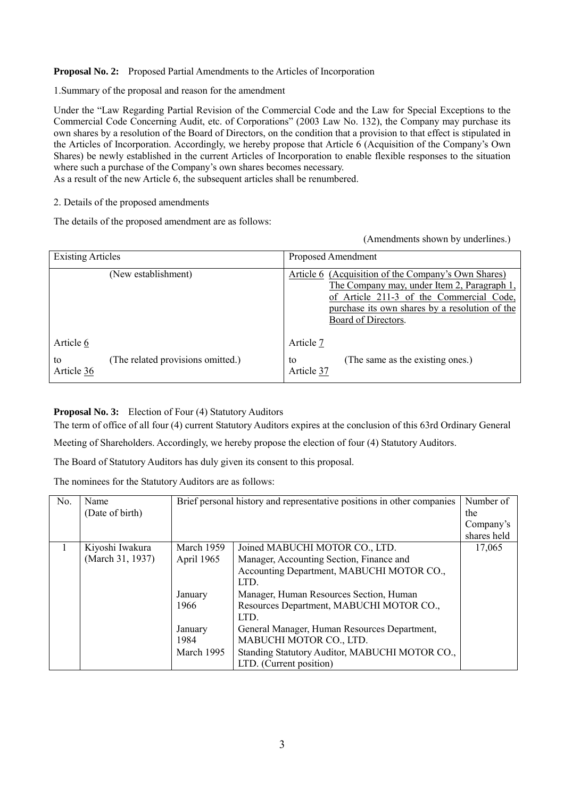# **Proposal No. 2:** Proposed Partial Amendments to the Articles of Incorporation

1.Summary of the proposal and reason for the amendment

Under the "Law Regarding Partial Revision of the Commercial Code and the Law for Special Exceptions to the Commercial Code Concerning Audit, etc. of Corporations" (2003 Law No. 132), the Company may purchase its own shares by a resolution of the Board of Directors, on the condition that a provision to that effect is stipulated in the Articles of Incorporation. Accordingly, we hereby propose that Article 6 (Acquisition of the Company's Own Shares) be newly established in the current Articles of Incorporation to enable flexible responses to the situation where such a purchase of the Company's own shares becomes necessary.

As a result of the new Article 6, the subsequent articles shall be renumbered.

# 2. Details of the proposed amendments

The details of the proposed amendment are as follows:

(Amendments shown by underlines.)

| <b>Existing Articles</b> |                                   | Proposed Amendment                                                                                                                                                                                                      |  |
|--------------------------|-----------------------------------|-------------------------------------------------------------------------------------------------------------------------------------------------------------------------------------------------------------------------|--|
|                          | (New establishment)               | Article 6 (Acquisition of the Company's Own Shares)<br>The Company may, under Item 2, Paragraph 1,<br>of Article 211-3 of the Commercial Code,<br>purchase its own shares by a resolution of the<br>Board of Directors. |  |
| Article 6                |                                   | Article 7                                                                                                                                                                                                               |  |
| to<br>Article 36         | (The related provisions omitted.) | (The same as the existing ones.)<br>to<br>Article 37                                                                                                                                                                    |  |

# **Proposal No. 3:** Election of Four (4) Statutory Auditors

The term of office of all four (4) current Statutory Auditors expires at the conclusion of this 63rd Ordinary General

Meeting of Shareholders. Accordingly, we hereby propose the election of four (4) Statutory Auditors.

The Board of Statutory Auditors has duly given its consent to this proposal.

The nominees for the Statutory Auditors are as follows:

| No. | Name             | Brief personal history and representative positions in other companies |                                                | Number of   |
|-----|------------------|------------------------------------------------------------------------|------------------------------------------------|-------------|
|     | (Date of birth)  |                                                                        |                                                | the         |
|     |                  |                                                                        |                                                | Company's   |
|     |                  |                                                                        |                                                | shares held |
|     | Kiyoshi Iwakura  | March 1959                                                             | Joined MABUCHI MOTOR CO., LTD.                 | 17,065      |
|     | (March 31, 1937) | April 1965                                                             | Manager, Accounting Section, Finance and       |             |
|     |                  |                                                                        | Accounting Department, MABUCHI MOTOR CO.,      |             |
|     |                  |                                                                        | LTD.                                           |             |
|     |                  | January                                                                | Manager, Human Resources Section, Human        |             |
|     |                  | 1966                                                                   | Resources Department, MABUCHI MOTOR CO.,       |             |
|     |                  |                                                                        | LTD.                                           |             |
|     |                  | January                                                                | General Manager, Human Resources Department,   |             |
|     |                  | 1984                                                                   | MABUCHI MOTOR CO., LTD.                        |             |
|     |                  | March 1995                                                             | Standing Statutory Auditor, MABUCHI MOTOR CO., |             |
|     |                  |                                                                        | LTD. (Current position)                        |             |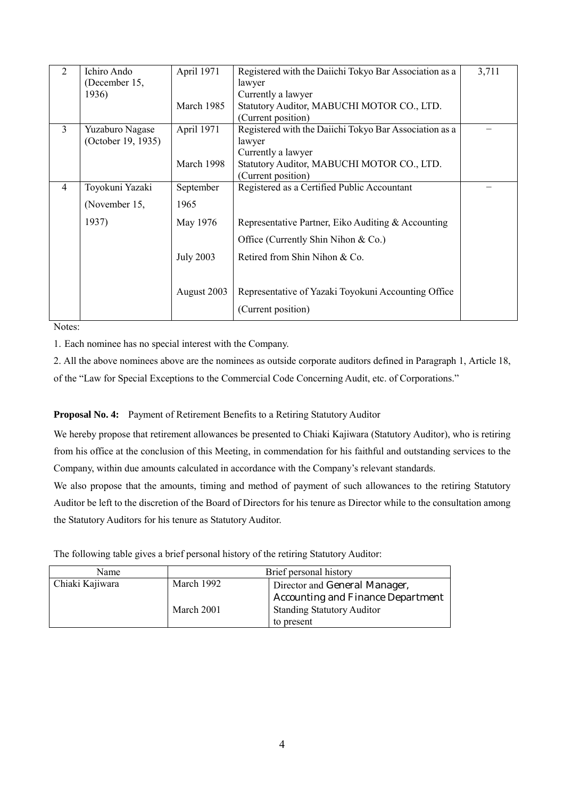| 2              | Ichiro Ando<br>(December 15, | April 1971       | Registered with the Daiichi Tokyo Bar Association as a<br>lawyer | 3,711 |
|----------------|------------------------------|------------------|------------------------------------------------------------------|-------|
|                | 1936)                        |                  | Currently a lawyer                                               |       |
|                |                              | March 1985       | Statutory Auditor, MABUCHI MOTOR CO., LTD.                       |       |
|                |                              |                  | (Current position)                                               |       |
| 3              | Yuzaburo Nagase              | April 1971       | Registered with the Daiichi Tokyo Bar Association as a           |       |
|                | (October 19, 1935)           |                  | lawyer                                                           |       |
|                |                              |                  | Currently a lawyer                                               |       |
|                |                              | March 1998       | Statutory Auditor, MABUCHI MOTOR CO., LTD.                       |       |
|                |                              |                  | (Current position)                                               |       |
| $\overline{4}$ | Toyokuni Yazaki              | September        | Registered as a Certified Public Accountant                      |       |
|                | (November 15,                | 1965             |                                                                  |       |
|                | 1937)                        | May 1976         | Representative Partner, Eiko Auditing & Accounting               |       |
|                |                              |                  | Office (Currently Shin Nihon $& Co.$ )                           |       |
|                |                              | <b>July 2003</b> | Retired from Shin Nihon & Co.                                    |       |
|                |                              |                  |                                                                  |       |
|                |                              | August 2003      | Representative of Yazaki Toyokuni Accounting Office              |       |
|                |                              |                  | (Current position)                                               |       |

Notes:

1. Each nominee has no special interest with the Company.

2. All the above nominees above are the nominees as outside corporate auditors defined in Paragraph 1, Article 18, of the "Law for Special Exceptions to the Commercial Code Concerning Audit, etc. of Corporations."

## **Proposal No. 4:** Payment of Retirement Benefits to a Retiring Statutory Auditor

We hereby propose that retirement allowances be presented to Chiaki Kajiwara (Statutory Auditor), who is retiring from his office at the conclusion of this Meeting, in commendation for his faithful and outstanding services to the Company, within due amounts calculated in accordance with the Company's relevant standards.

We also propose that the amounts, timing and method of payment of such allowances to the retiring Statutory Auditor be left to the discretion of the Board of Directors for his tenure as Director while to the consultation among the Statutory Auditors for his tenure as Statutory Auditor.

The following table gives a brief personal history of the retiring Statutory Auditor:

| Name            | Brief personal history                      |                                   |
|-----------------|---------------------------------------------|-----------------------------------|
| Chiaki Kajiwara | March 1992<br>Director and General Manager, |                                   |
|                 |                                             | Accounting and Finance Department |
|                 | March 2001                                  | <b>Standing Statutory Auditor</b> |
|                 |                                             | to present                        |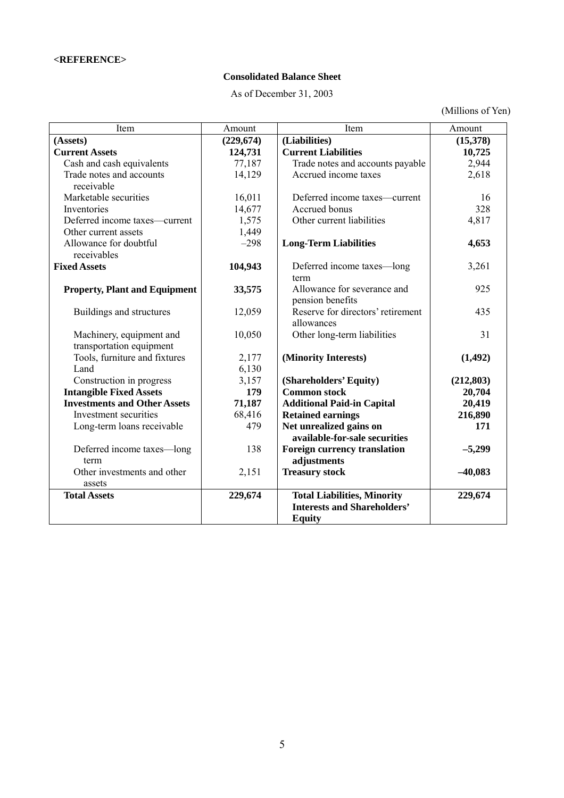# **Consolidated Balance Sheet**

As of December 31, 2003

(Millions of Yen)

| Item                                 | Amount     | Item                                | Amount     |
|--------------------------------------|------------|-------------------------------------|------------|
| (Assets)                             | (229, 674) | (Liabilities)                       | (15,378)   |
| <b>Current Assets</b>                | 124,731    | <b>Current Liabilities</b>          | 10,725     |
| Cash and cash equivalents            | 77,187     | Trade notes and accounts payable    | 2,944      |
| Trade notes and accounts             | 14,129     | Accrued income taxes                | 2,618      |
| receivable                           |            |                                     |            |
| Marketable securities                | 16,011     | Deferred income taxes—current       | 16         |
| Inventories                          | 14,677     | Accrued bonus                       | 328        |
| Deferred income taxes—current        | 1,575      | Other current liabilities           | 4,817      |
| Other current assets                 | 1,449      |                                     |            |
| Allowance for doubtful               | $-298$     | <b>Long-Term Liabilities</b>        | 4,653      |
| receivables                          |            |                                     |            |
| <b>Fixed Assets</b>                  | 104,943    | Deferred income taxes—long          | 3,261      |
|                                      |            | term                                |            |
| <b>Property, Plant and Equipment</b> | 33,575     | Allowance for severance and         | 925        |
|                                      |            | pension benefits                    |            |
| Buildings and structures             | 12,059     | Reserve for directors' retirement   | 435        |
|                                      |            | allowances                          |            |
| Machinery, equipment and             | 10,050     | Other long-term liabilities         | 31         |
| transportation equipment             |            |                                     |            |
| Tools, furniture and fixtures        | 2,177      | (Minority Interests)                | (1, 492)   |
| Land                                 | 6,130      |                                     |            |
| Construction in progress             | 3,157      | (Shareholders' Equity)              | (212, 803) |
| <b>Intangible Fixed Assets</b>       | 179        | <b>Common stock</b>                 | 20,704     |
| <b>Investments and Other Assets</b>  | 71,187     | <b>Additional Paid-in Capital</b>   | 20,419     |
| Investment securities                | 68,416     | <b>Retained earnings</b>            | 216,890    |
| Long-term loans receivable           | 479        | Net unrealized gains on             | 171        |
|                                      |            | available-for-sale securities       |            |
| Deferred income taxes-long           | 138        | <b>Foreign currency translation</b> | $-5,299$   |
| term                                 |            | adjustments                         |            |
| Other investments and other          | 2,151      | <b>Treasury stock</b>               | $-40,083$  |
| assets                               |            |                                     |            |
| <b>Total Assets</b>                  | 229,674    | <b>Total Liabilities, Minority</b>  | 229,674    |
|                                      |            | <b>Interests and Shareholders'</b>  |            |
|                                      |            | <b>Equity</b>                       |            |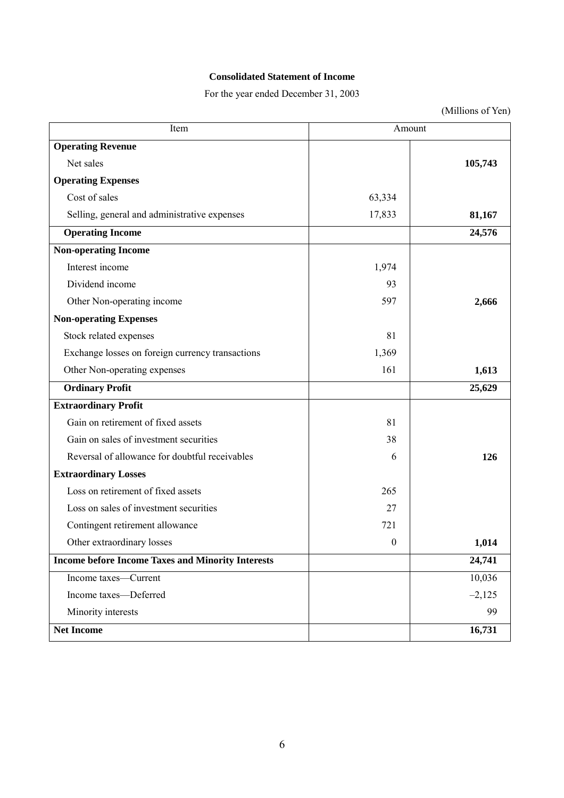# **Consolidated Statement of Income**

For the year ended December 31, 2003

(Millions of Yen)

| Item                                                     | Amount           |          |
|----------------------------------------------------------|------------------|----------|
| <b>Operating Revenue</b>                                 |                  |          |
| Net sales                                                |                  | 105,743  |
| <b>Operating Expenses</b>                                |                  |          |
| Cost of sales                                            | 63,334           |          |
| Selling, general and administrative expenses             | 17,833           | 81,167   |
| <b>Operating Income</b>                                  |                  | 24,576   |
| <b>Non-operating Income</b>                              |                  |          |
| Interest income                                          | 1,974            |          |
| Dividend income                                          | 93               |          |
| Other Non-operating income                               | 597              | 2,666    |
| <b>Non-operating Expenses</b>                            |                  |          |
| Stock related expenses                                   | 81               |          |
| Exchange losses on foreign currency transactions         | 1,369            |          |
| Other Non-operating expenses                             | 161              | 1,613    |
| <b>Ordinary Profit</b>                                   |                  | 25,629   |
| <b>Extraordinary Profit</b>                              |                  |          |
| Gain on retirement of fixed assets                       | 81               |          |
| Gain on sales of investment securities                   | 38               |          |
| Reversal of allowance for doubtful receivables           | 6                | 126      |
| <b>Extraordinary Losses</b>                              |                  |          |
| Loss on retirement of fixed assets                       | 265              |          |
| Loss on sales of investment securities                   | 27               |          |
| Contingent retirement allowance                          | 721              |          |
| Other extraordinary losses                               | $\boldsymbol{0}$ | 1,014    |
| <b>Income before Income Taxes and Minority Interests</b> |                  | 24,741   |
| Income taxes-Current                                     |                  | 10,036   |
| Income taxes-Deferred                                    |                  | $-2,125$ |
| Minority interests                                       |                  | 99       |
| <b>Net Income</b>                                        |                  | 16,731   |